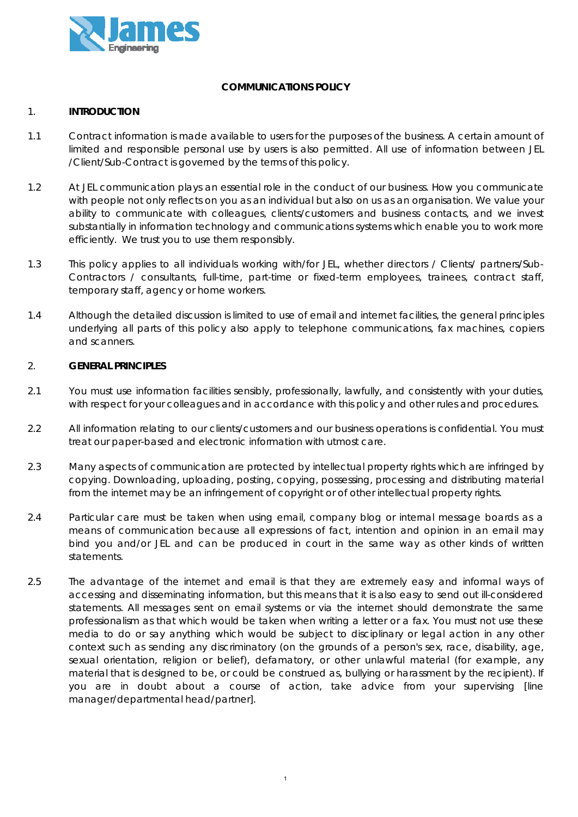

# **COMMUNICATIONS POLICY**

### 1. **INTRODUCTION**

- 1.1 Contract information is made available to users for the purposes of the business. A certain amount of limited and responsible personal use by users is also permitted. All use of information between JEL /Client/Sub-Contract is governed by the terms of this policy.
- 1.2 At JEL communication plays an essential role in the conduct of our business. How you communicate with people not only reflects on you as an individual but also on us as an organisation. We value your ability to communicate with colleagues, clients/customers and business contacts, and we invest substantially in information technology and communications systems which enable you to work more efficiently. We trust you to use them responsibly.
- 1.3 This policy applies to all individuals working with/for JEL, whether directors / Clients/ partners/Sub-Contractors / consultants, full-time, part-time or fixed-term employees, trainees, contract staff, temporary staff, agency or home workers.
- 1.4 Although the detailed discussion is limited to use of email and internet facilities, the general principles underlying all parts of this policy also apply to telephone communications, fax machines, copiers and scanners.

### 2. **GENERAL PRINCIPLES**

- 2.1 You must use information facilities sensibly, professionally, lawfully, and consistently with your duties, with respect for your colleagues and in accordance with this policy and other rules and procedures.
- 2.2 All information relating to our clients/customers and our business operations is confidential. You must treat our paper-based and electronic information with utmost care.
- 2.3 Many aspects of communication are protected by intellectual property rights which are infringed by copying. Downloading, uploading, posting, copying, possessing, processing and distributing material from the internet may be an infringement of copyright or of other intellectual property rights.
- 2.4 Particular care must be taken when using email, company blog or internal message boards as a means of communication because all expressions of fact, intention and opinion in an email may bind you and/or JEL and can be produced in court in the same way as other kinds of written statements.
- 2.5 The advantage of the internet and email is that they are extremely easy and informal ways of accessing and disseminating information, but this means that it is also easy to send out ill-considered statements. All messages sent on email systems or via the internet should demonstrate the same professionalism as that which would be taken when writing a letter or a fax. You must not use these media to do or say anything which would be subject to disciplinary or legal action in any other context such as sending any discriminatory (on the grounds of a person's sex, race, disability, age, sexual orientation, religion or belief), defamatory, or other unlawful material (for example, any material that is designed to be, or could be construed as, bullying or harassment by the recipient). If you are in doubt about a course of action, take advice from your supervising [line manager/departmental head/partner].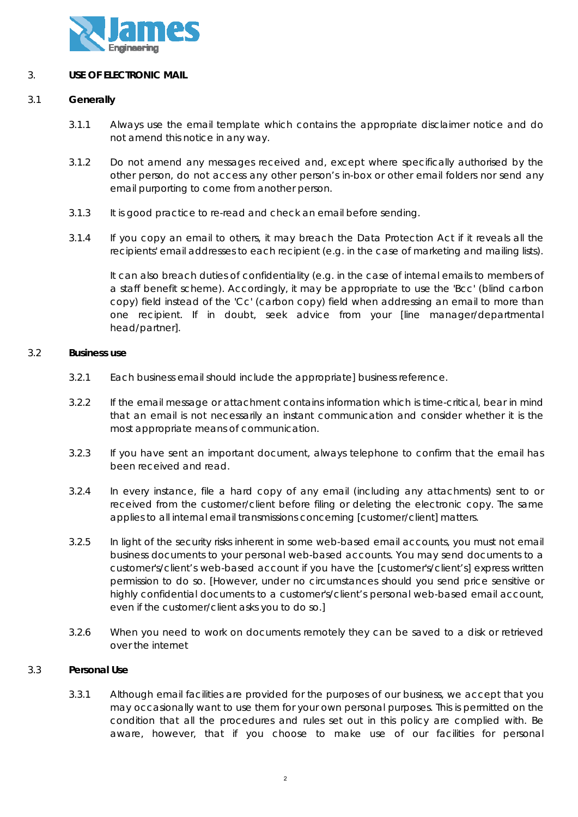

# 3. **USE OF ELECTRONIC MAIL**

### 3.1 **Generally**

- 3.1.1 Always use the email template which contains the appropriate disclaimer notice and do not amend this notice in any way.
- 3.1.2 Do not amend any messages received and, except where specifically authorised by the other person, do not access any other person's in-box or other email folders nor send any email purporting to come from another person.
- 3.1.3 It is good practice to re-read and check an email before sending.
- 3.1.4 If you copy an email to others, it may breach the Data Protection Act if it reveals all the recipients' email addresses to each recipient (e.g. in the case of marketing and mailing lists).

It can also breach duties of confidentiality (e.g. in the case of internal emails to members of a staff benefit scheme). Accordingly, it may be appropriate to use the 'Bcc' (blind carbon copy) field instead of the 'Cc' (carbon copy) field when addressing an email to more than one recipient. If in doubt, seek advice from your [line manager/departmental head/partner].

### 3.2 **Business use**

- 3.2.1 Each business email should include the appropriate] business reference.
- 3.2.2 If the email message or attachment contains information which is time-critical, bear in mind that an email is not necessarily an instant communication and consider whether it is the most appropriate means of communication.
- 3.2.3 If you have sent an important document, always telephone to confirm that the email has been received and read.
- 3.2.4 In every instance, file a hard copy of any email (including any attachments) sent to or received from the customer/client before filing or deleting the electronic copy. The same applies to all internal email transmissions concerning [customer/client] matters.
- 3.2.5 In light of the security risks inherent in some web-based email accounts, you must not email business documents to your personal web-based accounts. You may send documents to a customer's/client's web-based account if you have the [customer's/client's] express written permission to do so. [However, under no circumstances should you send price sensitive or highly confidential documents to a customer's/client's personal web-based email account, even if the customer/client asks you to do so.]
- 3.2.6 When you need to work on documents remotely they can be saved to a disk or retrieved over the internet

# 3.3 **Personal Use**

3.3.1 Although email facilities are provided for the purposes of our business, we accept that you may occasionally want to use them for your own personal purposes. This is permitted on the condition that all the procedures and rules set out in this policy are complied with. Be aware, however, that if you choose to make use of our facilities for personal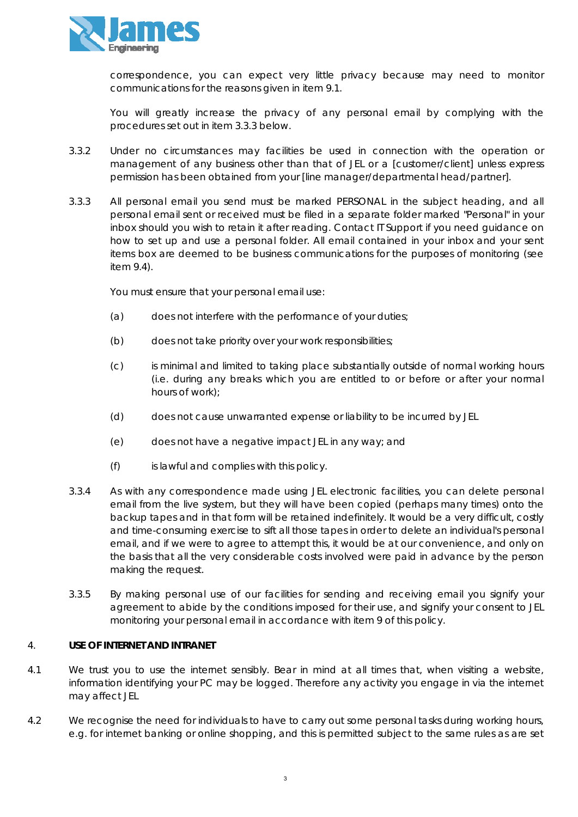

correspondence, you can expect very little privacy because may need to monitor communications for the reasons given in item 9.1.

You will greatly increase the privacy of any personal email by complying with the procedures set out in item 3.3.3 below.

- 3.3.2 Under no circumstances may facilities be used in connection with the operation or management of any business other than that of JEL or a [customer/client] unless express permission has been obtained from your [line manager/departmental head/partner].
- 3.3.3 All personal email you send must be marked PERSONAL in the subject heading, and all personal email sent or received must be filed in a separate folder marked "Personal" in your inbox should you wish to retain it after reading. Contact IT Support if you need guidance on how to set up and use a personal folder. All email contained in your inbox and your sent items box are deemed to be business communications for the purposes of monitoring (see item 9.4).

You must ensure that your personal email use:

- (a) does not interfere with the performance of your duties;
- (b) does not take priority over your work responsibilities;
- (c) is minimal and limited to taking place substantially outside of normal working hours (i.e. during any breaks which you are entitled to or before or after your normal hours of work);
- (d) does not cause unwarranted expense or liability to be incurred by JEL
- (e) does not have a negative impact JEL in any way; and
- (f) is lawful and complies with this policy.
- 3.3.4 As with any correspondence made using JEL electronic facilities, you can delete personal email from the live system, but they will have been copied (perhaps many times) onto the backup tapes and in that form will be retained indefinitely. It would be a very difficult, costly and time-consuming exercise to sift all those tapes in order to delete an individual's personal email, and if we were to agree to attempt this, it would be at our convenience, and only on the basis that all the very considerable costs involved were paid in advance by the person making the request.
- 3.3.5 By making personal use of our facilities for sending and receiving email you signify your agreement to abide by the conditions imposed for their use, and signify your consent to JEL monitoring your personal email in accordance with item 9 of this policy.

# 4. **USE OF INTERNET AND INTRANET**

- 4.1 We trust you to use the internet sensibly. Bear in mind at all times that, when visiting a website, information identifying your PC may be logged. Therefore any activity you engage in via the internet may affect JEL
- 4.2 We recognise the need for individuals to have to carry out some personal tasks during working hours, e.g. for internet banking or online shopping, and this is permitted subject to the same rules as are set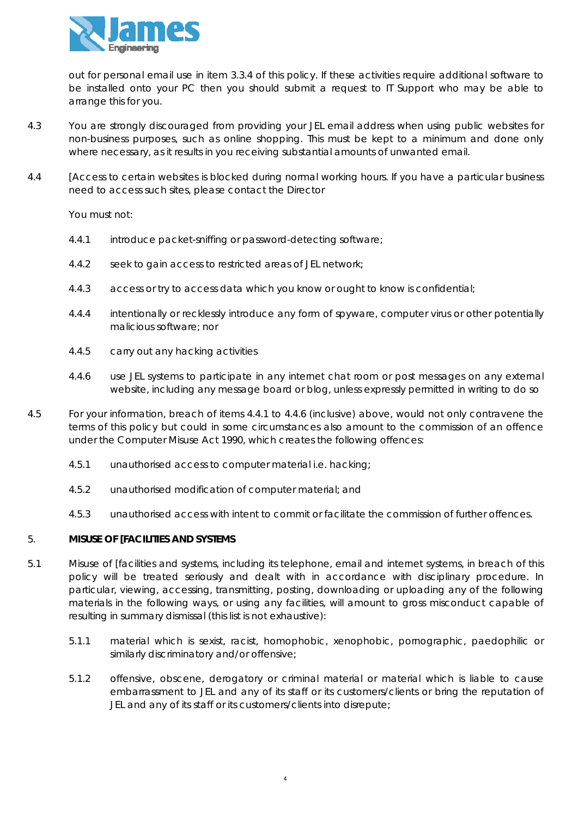

out for personal email use in item 3.3.4 of this policy. If these activities require additional software to be installed onto your PC then you should submit a request to IT Support who may be able to arrange this for you.

- 4.3 You are strongly discouraged from providing your JEL email address when using public websites for non-business purposes, such as online shopping. This must be kept to a minimum and done only where necessary, as it results in you receiving substantial amounts of unwanted email.
- 4.4 [Access to certain websites is blocked during normal working hours. If you have a particular business need to access such sites, please contact the Director

You must not:

- 4.4.1 introduce packet-sniffing or password-detecting software;
- 4.4.2 seek to gain access to restricted areas of JEL network;
- 4.4.3 access or try to access data which you know or ought to know is confidential;
- 4.4.4 intentionally or recklessly introduce any form of spyware, computer virus or other potentially malicious software; nor
- 4.4.5 carry out any hacking activities
- 4.4.6 use JEL systems to participate in any internet chat room or post messages on any external website, including any message board or blog, unless expressly permitted in writing to do so
- 4.5 For your information, breach of items 4.4.1 to 4.4.6 (inclusive) above, would not only contravene the terms of this policy but could in some circumstances also amount to the commission of an offence under the Computer Misuse Act 1990, which creates the following offences:
	- 4.5.1 unauthorised access to computer material i.e. hacking;
	- 4.5.2 unauthorised modification of computer material; and
	- 4.5.3 unauthorised access with intent to commit or facilitate the commission of further offences.

# 5. **MISUSE OF [FACILITIES AND SYSTEMS**

- 5.1 Misuse of [facilities and systems, including its telephone, email and internet systems, in breach of this policy will be treated seriously and dealt with in accordance with disciplinary procedure. In particular, viewing, accessing, transmitting, posting, downloading or uploading any of the following materials in the following ways, or using any facilities, will amount to gross misconduct capable of resulting in summary dismissal (this list is not exhaustive):
	- 5.1.1 material which is sexist, racist, homophobic, xenophobic, pornographic, paedophilic or similarly discriminatory and/or offensive;
	- 5.1.2 offensive, obscene, derogatory or criminal material or material which is liable to cause embarrassment to JEL and any of its staff or its customers/clients or bring the reputation of JEL and any of its staff or its customers/clients into disrepute;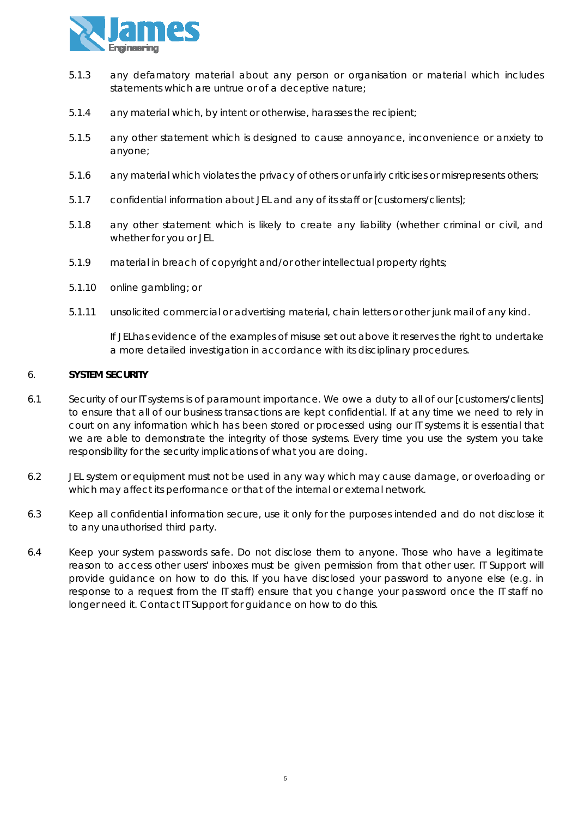

- 5.1.3 any defamatory material about any person or organisation or material which includes statements which are untrue or of a deceptive nature;
- 5.1.4 any material which, by intent or otherwise, harasses the recipient;
- 5.1.5 any other statement which is designed to cause annoyance, inconvenience or anxiety to anyone;
- 5.1.6 any material which violates the privacy of others or unfairly criticises or misrepresents others;
- 5.1.7 confidential information about JEL and any of its staff or [customers/clients];
- 5.1.8 any other statement which is likely to create any liability (whether criminal or civil, and whether for you or JEL
- 5.1.9 material in breach of copyright and/or other intellectual property rights;
- 5.1.10 online gambling; or
- 5.1.11 unsolicited commercial or advertising material, chain letters or other junk mail of any kind.

If JELhas evidence of the examples of misuse set out above it reserves the right to undertake a more detailed investigation in accordance with its disciplinary procedures.

#### 6. **SYSTEM SECURITY**

- 6.1 Security of our IT systems is of paramount importance. We owe a duty to all of our [customers/clients] to ensure that all of our business transactions are kept confidential. If at any time we need to rely in court on any information which has been stored or processed using our IT systems it is essential that we are able to demonstrate the integrity of those systems. Every time you use the system you take responsibility for the security implications of what you are doing.
- 6.2 JEL system or equipment must not be used in any way which may cause damage, or overloading or which may affect its performance or that of the internal or external network.
- 6.3 Keep all confidential information secure, use it only for the purposes intended and do not disclose it to any unauthorised third party.
- 6.4 Keep your system passwords safe. Do not disclose them to anyone. Those who have a legitimate reason to access other users' inboxes must be given permission from that other user. IT Support will provide guidance on how to do this. If you have disclosed your password to anyone else (e.g. in response to a request from the IT staff) ensure that you change your password once the IT staff no longer need it. Contact IT Support for guidance on how to do this.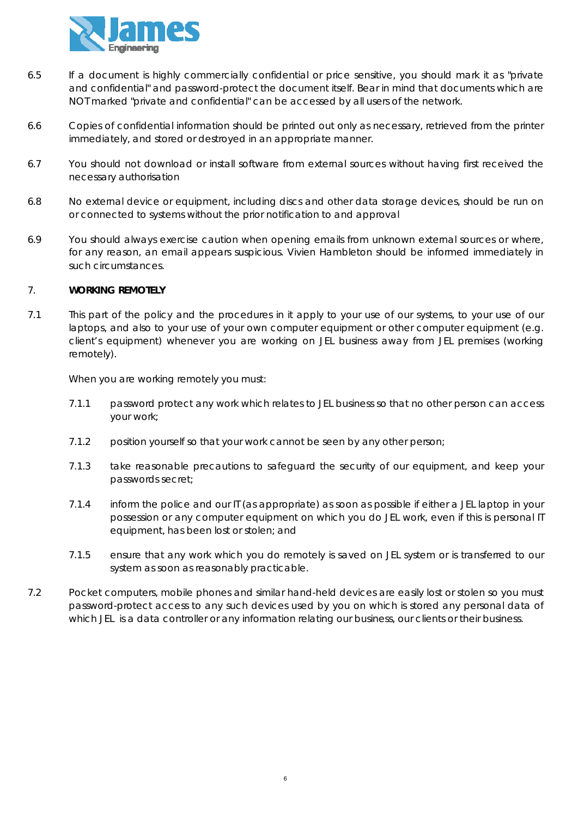

- 6.5 If a document is highly commercially confidential or price sensitive, you should mark it as "private and confidential" and password-protect the document itself. Bear in mind that documents which are NOT marked "private and confidential" can be accessed by all users of the network.
- 6.6 Copies of confidential information should be printed out only as necessary, retrieved from the printer immediately, and stored or destroyed in an appropriate manner.
- 6.7 You should not download or install software from external sources without having first received the necessary authorisation
- 6.8 No external device or equipment, including discs and other data storage devices, should be run on or connected to systems without the prior notification to and approval
- 6.9 You should always exercise caution when opening emails from unknown external sources or where, for any reason, an email appears suspicious. Vivien Hambleton should be informed immediately in such circumstances.

# 7. **WORKING REMOTELY**

7.1 This part of the policy and the procedures in it apply to your use of our systems, to your use of our laptops, and also to your use of your own computer equipment or other computer equipment (e.g. client's equipment) whenever you are working on JEL business away from JEL premises (working remotely).

When you are working remotely you must:

- 7.1.1 password protect any work which relates to JEL business so that no other person can access your work;
- 7.1.2 position yourself so that your work cannot be seen by any other person;
- 7.1.3 take reasonable precautions to safeguard the security of our equipment, and keep your passwords secret;
- 7.1.4 inform the police and our IT (as appropriate) as soon as possible if either a JEL laptop in your possession or any computer equipment on which you do JEL work, even if this is personal IT equipment, has been lost or stolen; and
- 7.1.5 ensure that any work which you do remotely is saved on JEL system or is transferred to our system as soon as reasonably practicable.
- 7.2 Pocket computers, mobile phones and similar hand-held devices are easily lost or stolen so you must password-protect access to any such devices used by you on which is stored any personal data of which JEL is a data controller or any information relating our business, our clients or their business.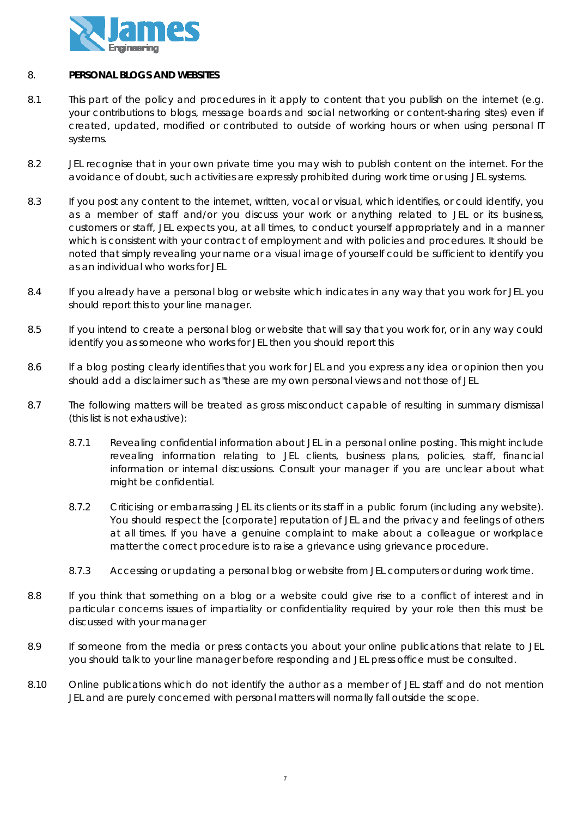

### 8. **PERSONAL BLOGS AND WEBSITES**

- 8.1 This part of the policy and procedures in it apply to content that you publish on the internet (e.g. your contributions to blogs, message boards and social networking or content-sharing sites) even if created, updated, modified or contributed to outside of working hours or when using personal IT systems.
- 8.2 JEL recognise that in your own private time you may wish to publish content on the internet. For the avoidance of doubt, such activities are expressly prohibited during work time or using JEL systems.
- 8.3 If you post any content to the internet, written, vocal or visual, which identifies, or could identify, you as a member of staff and/or you discuss your work or anything related to JEL or its business, customers or staff, JEL expects you, at all times, to conduct yourself appropriately and in a manner which is consistent with your contract of employment and with policies and procedures. It should be noted that simply revealing your name or a visual image of yourself could be sufficient to identify you as an individual who works for JEL
- 8.4 If you already have a personal blog or website which indicates in any way that you work for JEL you should report this to your line manager.
- 8.5 If you intend to create a personal blog or website that will say that you work for, or in any way could identify you as someone who works for JEL then you should report this
- 8.6 If a blog posting clearly identifies that you work for JEL and you express any idea or opinion then you should add a disclaimer such as "these are my own personal views and not those of JEL
- 8.7 The following matters will be treated as gross misconduct capable of resulting in summary dismissal (this list is not exhaustive):
	- 8.7.1 Revealing confidential information about JEL in a personal online posting. This might include revealing information relating to JEL clients, business plans, policies, staff, financial information or internal discussions. Consult your manager if you are unclear about what might be confidential.
	- 8.7.2 Criticising or embarrassing JEL its clients or its staff in a public forum (including any website). You should respect the [corporate] reputation of JEL and the privacy and feelings of others at all times. If you have a genuine complaint to make about a colleague or workplace matter the correct procedure is to raise a grievance using grievance procedure.
	- 8.7.3 Accessing or updating a personal blog or website from JEL computers or during work time.
- 8.8 If you think that something on a blog or a website could give rise to a conflict of interest and in particular concerns issues of impartiality or confidentiality required by your role then this must be discussed with your manager
- 8.9 If someone from the media or press contacts you about your online publications that relate to JEL you should talk to your line manager before responding and JEL press office must be consulted.
- 8.10 Online publications which do not identify the author as a member of JEL staff and do not mention JEL and are purely concerned with personal matters will normally fall outside the scope.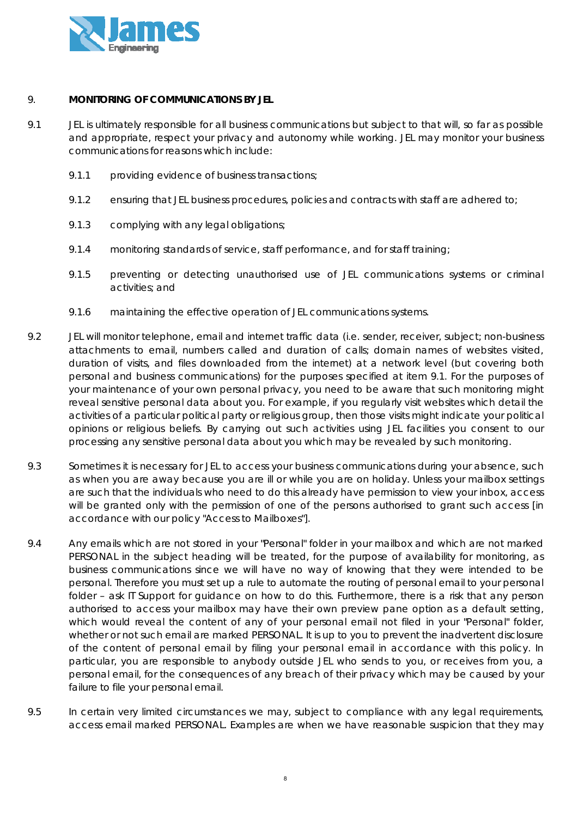

# 9. **MONITORING OF COMMUNICATIONS BY JEL**

- 9.1 JEL is ultimately responsible for all business communications but subject to that will, so far as possible and appropriate, respect your privacy and autonomy while working. JEL may monitor your business communications for reasons which include:
	- 9.1.1 providing evidence of business transactions;
	- 9.1.2 ensuring that JEL business procedures, policies and contracts with staff are adhered to;
	- 9.1.3 complying with any legal obligations;
	- 9.1.4 monitoring standards of service, staff performance, and for staff training;
	- 9.1.5 preventing or detecting unauthorised use of JEL communications systems or criminal activities; and
	- 9.1.6 maintaining the effective operation of JEL communications systems.
- 9.2 JEL will monitor telephone, email and internet traffic data (i.e. sender, receiver, subject; non-business attachments to email, numbers called and duration of calls; domain names of websites visited, duration of visits, and files downloaded from the internet) at a network level (but covering both personal and business communications) for the purposes specified at item 9.1. For the purposes of your maintenance of your own personal privacy, you need to be aware that such monitoring might reveal sensitive personal data about you. For example, if you regularly visit websites which detail the activities of a particular political party or religious group, then those visits might indicate your political opinions or religious beliefs. By carrying out such activities using JEL facilities you consent to our processing any sensitive personal data about you which may be revealed by such monitoring.
- 9.3 Sometimes it is necessary for JEL to access your business communications during your absence, such as when you are away because you are ill or while you are on holiday. Unless your mailbox settings are such that the individuals who need to do this already have permission to view your inbox, access will be granted only with the permission of one of the persons authorised to grant such access [in accordance with our policy "Access to Mailboxes"].
- 9.4 Any emails which are not stored in your "Personal" folder in your mailbox and which are not marked PERSONAL in the subject heading will be treated, for the purpose of availability for monitoring, as business communications since we will have no way of knowing that they were intended to be personal. Therefore you must set up a rule to automate the routing of personal email to your personal folder – ask IT Support for guidance on how to do this. Furthermore, there is a risk that any person authorised to access your mailbox may have their own preview pane option as a default setting, which would reveal the content of any of your personal email not filed in your "Personal" folder, whether or not such email are marked PERSONAL. It is up to you to prevent the inadvertent disclosure of the content of personal email by filing your personal email in accordance with this policy. In particular, you are responsible to anybody outside JEL who sends to you, or receives from you, a personal email, for the consequences of any breach of their privacy which may be caused by your failure to file your personal email*.*
- 9.5 In certain very limited circumstances we may, subject to compliance with any legal requirements, access email marked PERSONAL. Examples are when we have reasonable suspicion that they may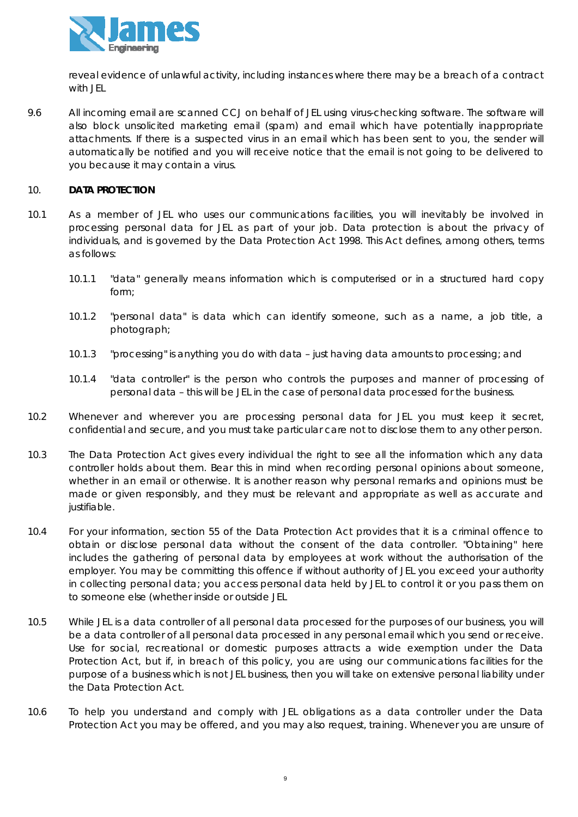

reveal evidence of unlawful activity, including instances where there may be a breach of a contract with JEL

9.6 All incoming email are scanned CCJ on behalf of JEL using virus-checking software. The software will also block unsolicited marketing email (spam) and email which have potentially inappropriate attachments. If there is a suspected virus in an email which has been sent to you, the sender will automatically be notified and you will receive notice that the email is not going to be delivered to you because it may contain a virus.

### 10. **DATA PROTECTION**

- 10.1 As a member of JEL who uses our communications facilities, you will inevitably be involved in processing personal data for JEL as part of your job. Data protection is about the privacy of individuals, and is governed by the Data Protection Act 1998. This Act defines, among others, terms as follows:
	- 10.1.1 "data" generally means information which is computerised or in a structured hard copy form;
	- 10.1.2 "personal data" is data which can identify someone, such as a name, a job title, a photograph;
	- 10.1.3 "processing" is anything you do with data just having data amounts to processing; and
	- 10.1.4 "data controller" is the person who controls the purposes and manner of processing of personal data – this will be JEL in the case of personal data processed for the business.
- 10.2 Whenever and wherever you are processing personal data for JEL you must keep it secret, confidential and secure, and you must take particular care not to disclose them to any other person.
- 10.3 The Data Protection Act gives every individual the right to see all the information which any data controller holds about them. Bear this in mind when recording personal opinions about someone, whether in an email or otherwise. It is another reason why personal remarks and opinions must be made or given responsibly, and they must be relevant and appropriate as well as accurate and justifiable.
- 10.4 For your information, section 55 of the Data Protection Act provides that it is a criminal offence to obtain or disclose personal data without the consent of the data controller. "Obtaining" here includes the gathering of personal data by employees at work without the authorisation of the employer. You may be committing this offence if without authority of JEL you exceed your authority in collecting personal data; you access personal data held by JEL to control it or you pass them on to someone else (whether inside or outside JEL
- 10.5 While JEL is a data controller of all personal data processed for the purposes of our business, you will be a data controller of all personal data processed in any personal email which you send or receive. Use for social, recreational or domestic purposes attracts a wide exemption under the Data Protection Act, but if, in breach of this policy, you are using our communications facilities for the purpose of a business which is not JEL business, then you will take on extensive personal liability under the Data Protection Act.
- 10.6 To help you understand and comply with JEL obligations as a data controller under the Data Protection Act you may be offered, and you may also request, training. Whenever you are unsure of